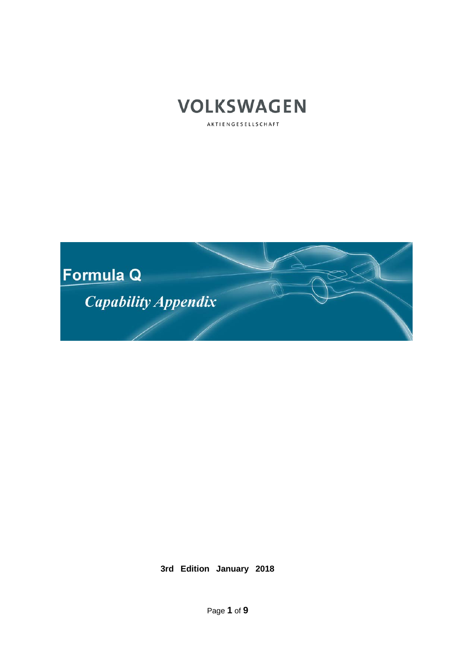

AKTIENGESELLSCHAFT



**3rd Edition January 2018**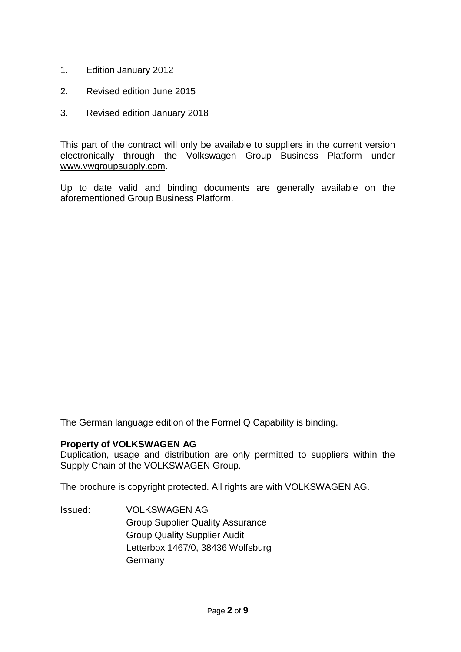- 1. Edition January 2012
- 2. Revised edition June 2015
- 3. Revised edition January 2018

This part of the contract will only be available to suppliers in the current version electronically through the Volkswagen Group Business Platform under [www.vwgroupsupply.com.](http://www.vwgroupsupply.com/)

Up to date valid and binding documents are generally available on the aforementioned Group Business Platform.

The German language edition of the Formel Q Capability is binding.

#### **Property of VOLKSWAGEN AG**

Duplication, usage and distribution are only permitted to suppliers within the Supply Chain of the VOLKSWAGEN Group.

The brochure is copyright protected. All rights are with VOLKSWAGEN AG.

Issued: VOLKSWAGEN AG Group Supplier Quality Assurance Group Quality Supplier Audit Letterbox 1467/0, 38436 Wolfsburg **Germany**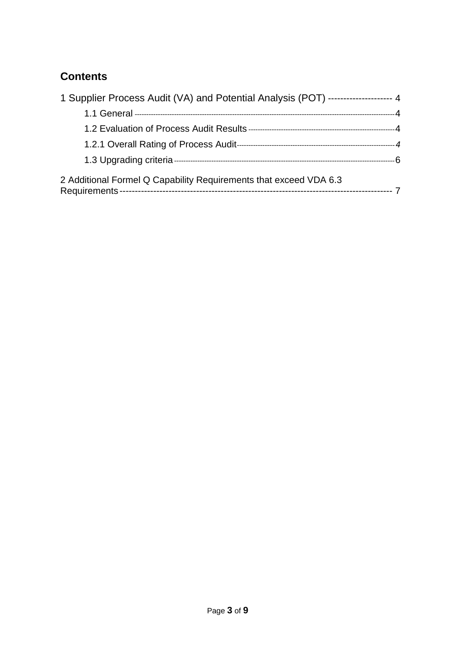### **Contents**

| 1 Supplier Process Audit (VA) and Potential Analysis (POT) -------------------- 4 |  |
|-----------------------------------------------------------------------------------|--|
|                                                                                   |  |
|                                                                                   |  |
|                                                                                   |  |
|                                                                                   |  |
| 2 Additional Formel Q Capability Requirements that exceed VDA 6.3                 |  |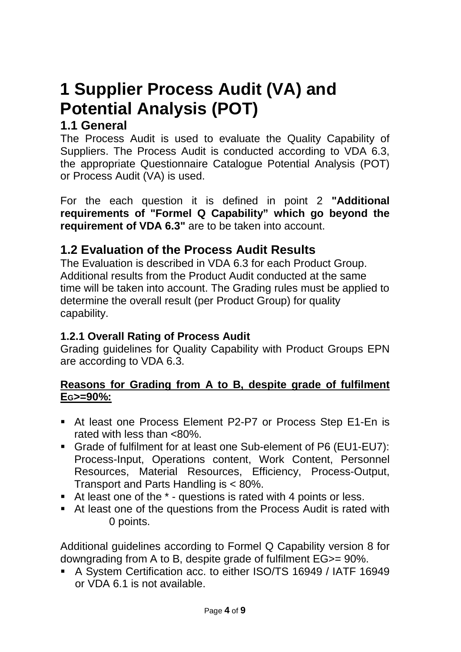# <span id="page-3-0"></span>**1 Supplier Process Audit (VA) and Potential Analysis (POT)**

## **1.1 General**

The Process Audit is used to evaluate the Quality Capability of Suppliers. The Process Audit is conducted according to VDA 6.3, the appropriate Questionnaire Catalogue Potential Analysis (POT) or Process Audit (VA) is used.

For the each question it is defined in point 2 **"Additional requirements of "Formel Q Capability" which go beyond the requirement of VDA 6.3"** are to be taken into account.

### <span id="page-3-1"></span>**1.2 Evaluation of the Process Audit Results**

The Evaluation is described in VDA 6.3 for each Product Group. Additional results from the Product Audit conducted at the same time will be taken into account. The Grading rules must be applied to determine the overall result (per Product Group) for quality capability.

#### <span id="page-3-2"></span>**1.2.1 Overall Rating of Process Audit**

Grading guidelines for Quality Capability with Product Groups EPN are according to VDA 6.3.

#### **Reasons for Grading from A to B, despite grade of fulfilment EG>=90%:**

- At least one Process Element P2-P7 or Process Step E1-En is rated with less than <80%.
- Grade of fulfilment for at least one Sub-element of P6 (EU1-EU7): Process-Input, Operations content, Work Content, Personnel Resources, Material Resources, Efficiency, Process-Output, Transport and Parts Handling is < 80%.
- At least one of the \* questions is rated with 4 points or less.
- At least one of the questions from the Process Audit is rated with 0 points.

Additional guidelines according to Formel Q Capability version 8 for downgrading from A to B, despite grade of fulfilment EG>= 90%.

 A System Certification acc. to either ISO/TS 16949 / IATF 16949 or VDA 6.1 is not available.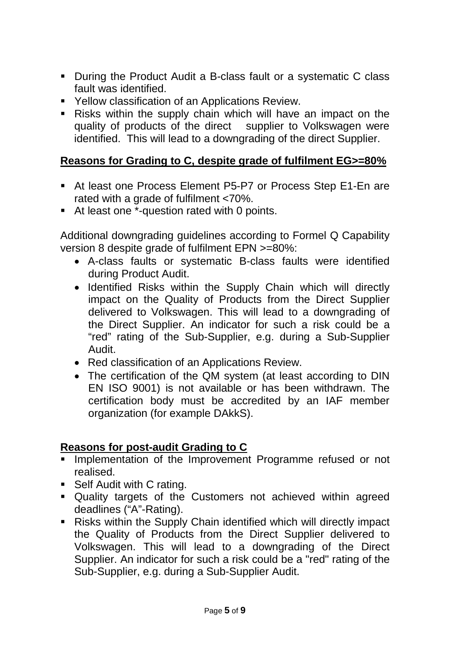- During the Product Audit a B-class fault or a systematic C class fault was identified.
- **Yellow classification of an Applications Review.**
- Risks within the supply chain which will have an impact on the quality of products of the direct supplier to Volkswagen were identified. This will lead to a downgrading of the direct Supplier.

#### **Reasons for Grading to C, despite grade of fulfilment EG>=80%**

- At least one Process Element P5-P7 or Process Step E1-En are rated with a grade of fulfilment <70%.
- At least one \*-question rated with 0 points.

Additional downgrading guidelines according to Formel Q Capability version 8 despite grade of fulfilment EPN >=80%:

- A-class faults or systematic B-class faults were identified during Product Audit.
- Identified Risks within the Supply Chain which will directly impact on the Quality of Products from the Direct Supplier delivered to Volkswagen. This will lead to a downgrading of the Direct Supplier. An indicator for such a risk could be a "red" rating of the Sub-Supplier, e.g. during a Sub-Supplier Audit.
- Red classification of an Applications Review.
- The certification of the QM system (at least according to DIN EN ISO 9001) is not available or has been withdrawn. The certification body must be accredited by an IAF member organization (for example DAkkS).

#### **Reasons for post-audit Grading to C**

- **Implementation of the Improvement Programme refused or not** realised.
- Self Audit with C rating.
- Quality targets of the Customers not achieved within agreed deadlines ("A"-Rating).
- Risks within the Supply Chain identified which will directly impact the Quality of Products from the Direct Supplier delivered to Volkswagen. This will lead to a downgrading of the Direct Supplier. An indicator for such a risk could be a "red" rating of the Sub-Supplier, e.g. during a Sub-Supplier Audit.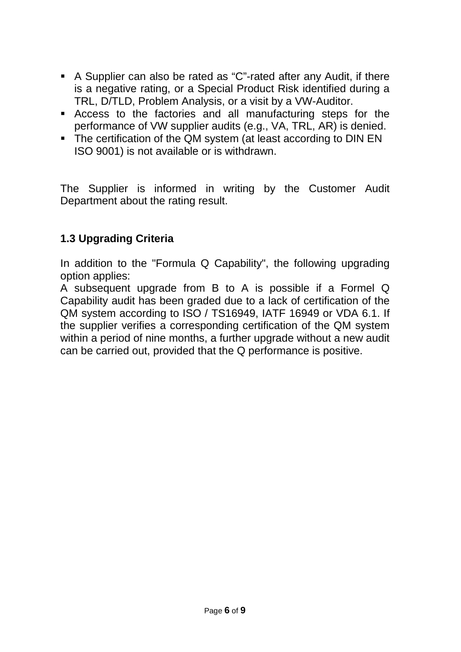- A Supplier can also be rated as "C"-rated after any Audit, if there is a negative rating, or a Special Product Risk identified during a TRL, D/TLD, Problem Analysis, or a visit by a VW-Auditor.
- Access to the factories and all manufacturing steps for the performance of VW supplier audits (e.g., VA, TRL, AR) is denied.
- The certification of the QM system (at least according to DIN EN ISO 9001) is not available or is withdrawn.

The Supplier is informed in writing by the Customer Audit Department about the rating result.

### <span id="page-5-0"></span>**1.3 Upgrading Criteria**

In addition to the "Formula Q Capability", the following upgrading option applies:

A subsequent upgrade from B to A is possible if a Formel Q Capability audit has been graded due to a lack of certification of the QM system according to ISO / TS16949, IATF 16949 or VDA 6.1. If the supplier verifies a corresponding certification of the QM system within a period of nine months, a further upgrade without a new audit can be carried out, provided that the Q performance is positive.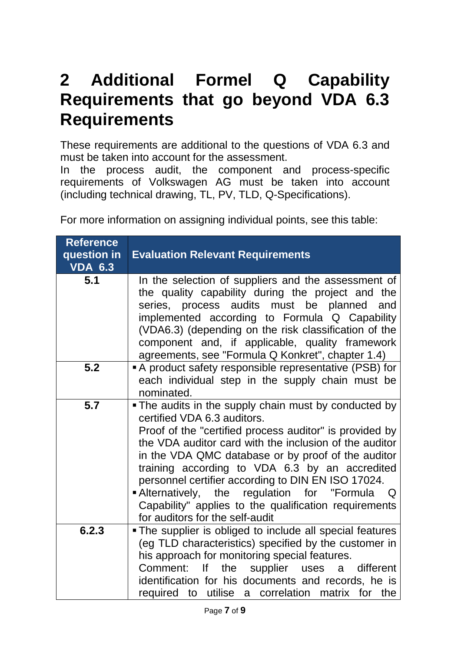# <span id="page-6-0"></span>**2 Additional Formel Q Capability Requirements that go beyond VDA 6.3 Requirements**

These requirements are additional to the questions of VDA 6.3 and must be taken into account for the assessment.

In the process audit, the component and process-specific requirements of Volkswagen AG must be taken into account (including technical drawing, TL, PV, TLD, Q-Specifications).

For more information on assigning individual points, see this table:

| <b>Reference</b><br>question in<br>$VDA$ 6.3 | <b>Evaluation Relevant Requirements</b>                                                                                                                                                                                                                                                                                                                                                                                                                                                                             |
|----------------------------------------------|---------------------------------------------------------------------------------------------------------------------------------------------------------------------------------------------------------------------------------------------------------------------------------------------------------------------------------------------------------------------------------------------------------------------------------------------------------------------------------------------------------------------|
| 5.1                                          | In the selection of suppliers and the assessment of<br>the quality capability during the project and the<br>series, process audits must be planned and<br>implemented according to Formula Q Capability<br>(VDA6.3) (depending on the risk classification of the<br>component and, if applicable, quality framework<br>agreements, see "Formula Q Konkret", chapter 1.4)                                                                                                                                            |
| 5.2                                          | A product safety responsible representative (PSB) for<br>each individual step in the supply chain must be<br>nominated.                                                                                                                                                                                                                                                                                                                                                                                             |
| 5.7                                          | • The audits in the supply chain must by conducted by<br>certified VDA 6.3 auditors.<br>Proof of the "certified process auditor" is provided by<br>the VDA auditor card with the inclusion of the auditor<br>in the VDA QMC database or by proof of the auditor<br>training according to VDA 6.3 by an accredited<br>personnel certifier according to DIN EN ISO 17024.<br>Alternatively, the regulation for "Formula Q<br>Capability" applies to the qualification requirements<br>for auditors for the self-audit |
| 6.2.3                                        | • The supplier is obliged to include all special features<br>(eg TLD characteristics) specified by the customer in<br>his approach for monitoring special features.<br>Comment: If<br>the<br>supplier uses<br>different<br>a<br>identification for his documents and records, he is<br>required to utilise a correlation matrix for the                                                                                                                                                                             |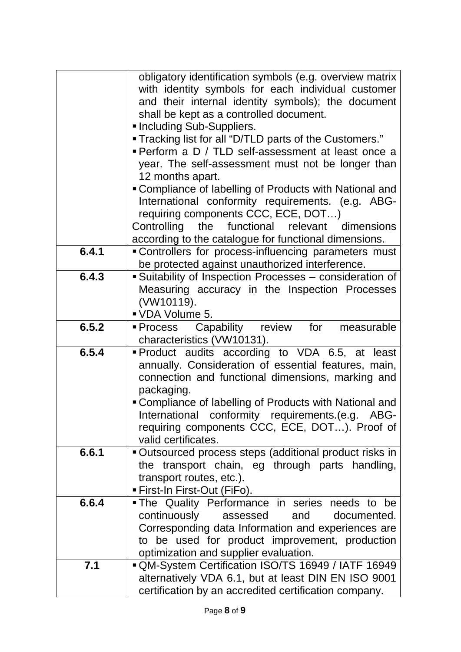|       | obligatory identification symbols (e.g. overview matrix                                  |
|-------|------------------------------------------------------------------------------------------|
|       | with identity symbols for each individual customer                                       |
|       | and their internal identity symbols); the document                                       |
|       | shall be kept as a controlled document.                                                  |
|       | Including Sub-Suppliers.                                                                 |
|       | <b>Tracking list for all "D/TLD parts of the Customers."</b>                             |
|       | ■ Perform a D / TLD self-assessment at least once a                                      |
|       | year. The self-assessment must not be longer than                                        |
|       | 12 months apart.                                                                         |
|       | • Compliance of labelling of Products with National and                                  |
|       | International conformity requirements. (e.g. ABG-                                        |
|       | requiring components CCC, ECE, DOT)                                                      |
|       | Controlling<br>the functional relevant dimensions                                        |
|       | according to the catalogue for functional dimensions.                                    |
| 6.4.1 | • Controllers for process-influencing parameters must                                    |
|       | be protected against unauthorized interference.                                          |
| 6.4.3 | Suitability of Inspection Processes - consideration of                                   |
|       | Measuring accuracy in the Inspection Processes                                           |
|       | (VW10119).                                                                               |
|       | VDA Volume 5.                                                                            |
| 6.5.2 | Process Capability review for<br>measurable                                              |
|       | characteristics (VW10131).                                                               |
| 6.5.4 | • Product audits according to VDA 6.5, at least                                          |
|       | annually. Consideration of essential features, main,                                     |
|       | connection and functional dimensions, marking and                                        |
|       | packaging.                                                                               |
|       | • Compliance of labelling of Products with National and                                  |
|       | International conformity requirements.(e.g. ABG-                                         |
|       | requiring components CCC, ECE, DOT). Proof of                                            |
|       | valid certificates.                                                                      |
| 6.6.1 | Outsourced process steps (additional product risks in                                    |
|       | the transport chain, eg through parts handling,                                          |
|       | transport routes, etc.).                                                                 |
|       | ■ First-In First-Out (FiFo).                                                             |
| 6.6.4 |                                                                                          |
|       | . The Quality Performance in series needs to<br>be<br>continuously<br>and<br>documented. |
|       | assessed                                                                                 |
|       | Corresponding data Information and experiences are                                       |
|       | to be used for product improvement, production                                           |
|       | optimization and supplier evaluation.                                                    |
| 7.1   | OM-System Certification ISO/TS 16949 / IATF 16949                                        |
|       | alternatively VDA 6.1, but at least DIN EN ISO 9001                                      |
|       | certification by an accredited certification company.                                    |